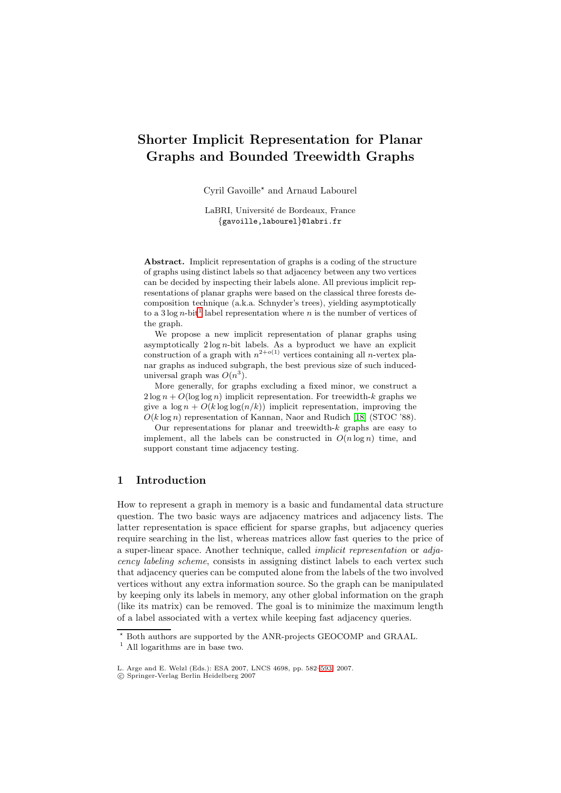# **Shorter Implicit Representation for Planar Graphs and Bounded Treewidth Graphs**

Cyril Gavoille $^{\star}$  and Arnaud Labourel

LaBRI, Université de Bordeaux, France {gavoille,labourel}@labri.fr

**Abstract.** Implicit representation of graphs is a coding of the structure of graphs using distinct labels so that adjacency between any two vertices can be decided by inspecting their labels alone. All previous implicit representations of planar graphs were based on the classical three forests decomposition technique (a.k.a. Schnyder's trees), yielding asymptotically to a 3 log n-bit<sup>1</sup> label representation where n is the number of vertices of the graph.

We propose a new implicit representation of planar graphs using asymptotically  $2 \log n$ -bit labels. As a byproduct we have an explicit construction [of](#page-0-0) a graph with  $n^{2+o(1)}$  vertices containing all *n*-vertex planar graphs as induced subgraph, the best previous size of such induceduniversal graph was  $O(n^3)$ .

More generally, for graphs excluding a fixed minor, we construct a  $2 \log n + O(\log \log n)$  implicit representation. For treewidth-k graphs we give a  $\log n + O(k \log \log (n/k))$  implicit representation, improving the  $O(k \log n)$  representation of Kannan, Naor and Rudich [18] (STOC '88).

Our representations for planar and treewidth- $k$  graphs are easy to implement, all the labels can be constructed in  $O(n \log n)$  time, and support constant time adjacency testing.

## **1 Introduction**

How to represent a graph in memory is a basic and fundamental data structure question. The two basic ways are adjacency matrices and adjacency lists. The latter representation is space efficient for sparse graphs, but adjacency queries require searching in the list, whereas matrices allow fast queries to the price of a super-linear space. Another technique, called implicit representation or adjacency labeling scheme, consists in assigning distinct labels to each vertex such that adjacency queries can be computed alone from the labels of the two involved vertices without any extra information source. So the graph can be manipulated by keeping only its labels in memory, any other global information on the graph (like its matrix) can be removed. The goal is to minimize the maximum length of a label associated with a vertex while keeping fast adjacency queries.

<sup>-</sup> Both authors are supported by the ANR-projects GEOCOMP and GRAAL.

<sup>1</sup> All logarithms are in base two.

L. Arge and E. Welzl (Eds.): ESA 2007, LNCS 4698, pp. 582–593, 2007.

<span id="page-0-0"></span><sup>-</sup>c Springer-Verlag Berlin Heidelberg 2007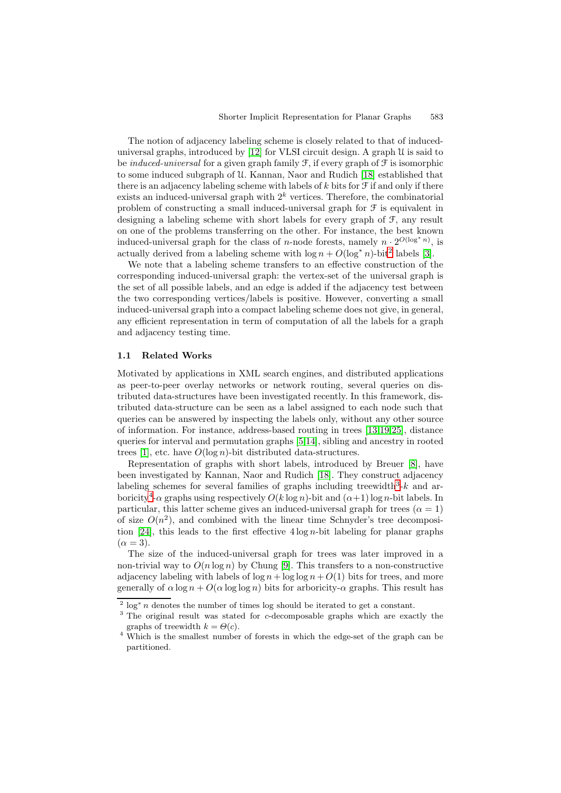The notion of adjacency labeling scheme is closely related to that of induceduniversal graphs, introduced by  $[12]$  for VLSI circuit design. A graph  $\mathcal U$  is said to be *induced-universal* for a given graph family  $\mathcal{F}$ , if every graph of  $\mathcal{F}$  is isomorphic to some induced subgraph of U. Kannan, Naor and Rudich [18] established that there is an adjacency labeling scheme with labels of  $k$  bits for  $\mathcal F$  if and only if there exists an induced-universal grap[h w](#page-11-0)ith  $2<sup>k</sup>$  vertices. Therefore, the combinatorial problem of constructing a small induced-universal graph for F is equivalent in designing a labeling scheme with short labels for every gr[aph](#page-11-1) of F, any result on one of the problems transferring on the other. For instance, the best known induced-universal graph for the class of *n*-node forests, namely  $n \cdot 2^{O(\log^* n)}$ , is actually derived from a labeling scheme with  $\log n + O(\log^* n)$ -bit<sup>2</sup> labels [3].

We note that a labeling scheme transfers to an effective construction of the corresponding induced-universal graph: the vertex-set of the universal graph is the set of all possible labels, and an edge is added if the adjacency test between the two corresponding vertices/labels is positive. However, conv[ert](#page-1-0)ing a [sm](#page-10-0)all induced-universal graph into a compact labeling scheme does not give, in general, any efficient representation in term of computation of all the labels for a graph and adjacency testing time.

#### **1.1 Related Works**

Motivated by applications in XML search engines, and distributed applications as peer-to-peer overlay networks or network routing, several queries on distributed data-structures have been investigated recently. In this framework, distributed data-structure can be seen as a label assigned to each node such that queries can be answered by inspecting the labels only, without any other source of information. For instance, address-based routing in trees [13,19,25], distance queries for interval and permutation graphs [5,14], sibling and ancestry in rooted trees [1], etc. have  $O(\log n)$ -bit distributed data-structures.

Representation of graphs with short labels, introduced by Breuer [8], have been investigated by Kannan, Naor and Rudich [18]. They c[ons](#page-11-2)[tru](#page-11-3)[ct](#page-11-4) adjacency labeling schemes for several families of gra[p](#page-10-1)[hs i](#page-11-5)ncluding treewidth<sup>3</sup>-k and arborici[ty](#page-10-2)<sup>4</sup>- $\alpha$  graphs using respectively  $O(k \log n)$ -bit and  $(\alpha+1) \log n$ -bit labels. In particular, this latter scheme gives an induced-universal graph for trees  $(\alpha = 1)$ of size  $O(n^2)$ , and combined with the linear ti[me](#page-11-1) Schnyder's tree decomposition [24], this leads to the first effective  $4 \log n$ -bit labeling for pl[an](#page-1-1)ar graphs  $(\alpha = 3).$  $(\alpha = 3).$ 

The size of the induced-universal graph for trees was later improved in a non-trivial way to  $O(n \log n)$  by Chung [9]. This transfers to a non-constructive adjac[enc](#page-11-7)y labeling with labels of  $\log n + \log \log n + O(1)$  bits for trees, and more generally of  $\alpha \log n + O(\alpha \log \log n)$  bits for arboricity- $\alpha$  graphs. This result has

<sup>&</sup>lt;sup>2</sup> log<sup>\*</sup> n denotes the number of times log should be iterated to get a constant.

<sup>&</sup>lt;sup>3</sup> The original result was stated for *c*-de[com](#page-11-8)posable graphs which are exactly the graphs of treewidth  $k = \Theta(c)$ .

<span id="page-1-2"></span><span id="page-1-1"></span><span id="page-1-0"></span><sup>4</sup> Which is the smallest number of forests in which the edge-set of the graph can be partitioned.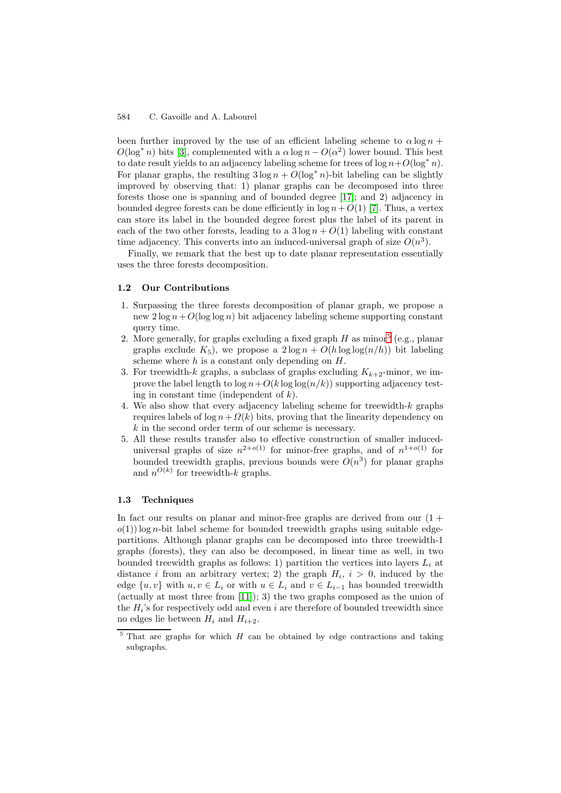#### 584 C. Gavoille and A. Labourel

been further improved by the use of an efficient labeling scheme to  $\alpha \log n$  +  $O(\log^* n)$  bits [3], complemented with a  $\alpha \log n - O(\alpha^2)$  lower bound. This best to date result yields to an adjacency labeling scheme for trees of  $\log n + O(\log^* n)$ . For planar graphs, the resulting  $3 \log n + O(\log^* n)$ -bit labeling can be slightly improved by observing that: 1) planar graphs can be decomposed into three forests those o[ne](#page-10-0) is spanning and of bounded degree [17]; and 2) adjacency in bounded degree forests can be done efficiently in  $\log n + O(1)$  [7]. Thus, a vertex can store its label in the bounded degree forest plus the label of its parent in each of the two other forests, leading to a  $3 \log n + O(1)$  labeling with constant time adjacency. This converts into an induced-univers[al g](#page-11-9)raph of size  $O(n^3)$ .

Finally, we remark that the best up to date planar represe[nt](#page-10-3)ation essentially uses the three forests decomposition.

#### **1.2 Our Contributions**

- 1. Surpassing the three forests decomposition of planar graph, we propose a new  $2 \log n + O(\log \log n)$  bit adjacency labeling scheme supporting constant query time.
- 2. More generally, for graphs excluding a fixed graph  $H$  as minor<sup>5</sup> (e.g., planar graphs exclude  $K_5$ ), we propose a  $2 \log n + O(h \log \log (n/h))$  bit labeling scheme where  $h$  is a constant only depending on  $H$ .
- 3. For treewidth-k graphs, a subclass of graphs excluding  $K_{k+2}$ -minor, we improve the label length to  $\log n + O(k \log \log(n/k))$  supporting [ad](#page-2-0)jacency testing in constant time (independent of  $k$ ).
- 4. We also show that every adjacency labeling scheme for treewidth- $k$  graphs requires labels of  $\log n + \Omega(k)$  bits, proving that the linearity dependency on k in the second order term of our scheme is necessary.
- 5. All these results transfer also to effective construction of smaller induceduniversal graphs of size  $n^{2+o(1)}$  for minor-free graphs, and of  $n^{1+o(1)}$  for bounded treewidth graphs, previous bounds were  $O(n^3)$  for planar graphs and  $n^{O(k)}$  for treewidth-k graphs.

### **1.3 Techniques**

In fact our results on planar and minor-free graphs are derived from our  $(1 +$  $o(1)$  log n-bit label scheme for bounded treewidth graphs using suitable edgepartitions. Although planar graphs can be decomposed into three treewidth-1 graphs (forests), they can also be decomposed, in linear time as well, in two bounded treewidth graphs as follows: 1) partition the vertices into layers  $L_i$  at distance i from an arbitrary vertex; 2) the graph  $H_i$ ,  $i > 0$ , induced by the edge  $\{u, v\}$  with  $u, v \in L_i$  or with  $u \in L_i$  and  $v \in L_{i-1}$  has bounded treewidth (actually at most three from [11]); 3) the two graphs composed as the union of the  $H_i$ 's for respectively odd and even i are therefore of bounded treewidth since no edges lie between  $H_i$  and  $H_{i+2}$ .

<span id="page-2-0"></span> $5$  That are graphs for which  $H$  can be obtained by edge contractions and taking subgraphs.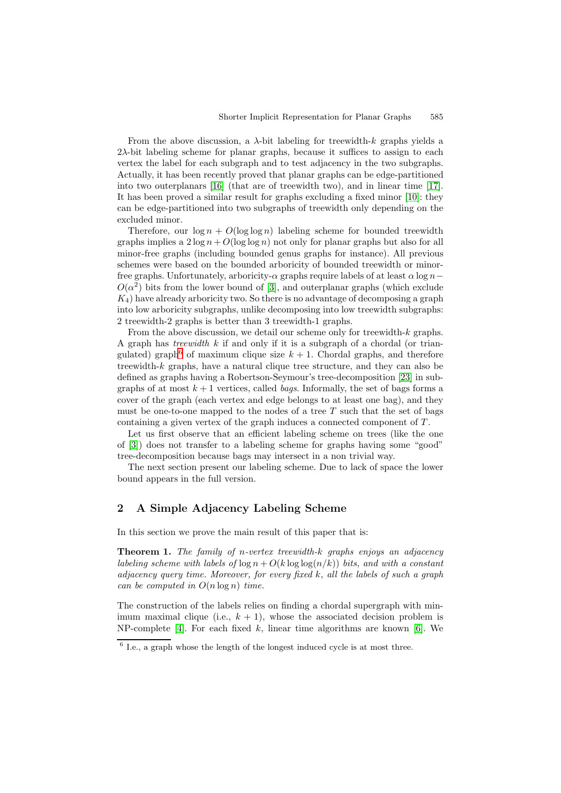From the above discussion, a  $\lambda$ -bit labeling for treewidth-k graphs yields a  $2\lambda$ -bit labeling scheme for planar graphs, because it suffices to assign to each vertex the label for each subgraph and to test adjacency in the two subgraphs. Actually, it has been recently proved that planar graphs can be edge-partitioned into two outerplanars [16] (that are of treewidth two), and in linear time [17]. It has been proved a similar result for graphs excluding a fixed minor [10]: they can be edge-partitioned into two subgraphs of treewidth only depending on the excluded minor.

Therefore, our  $\log n + O(\log \log n)$  $\log n + O(\log \log n)$  $\log n + O(\log \log n)$  labeling scheme for bounded treew[idth](#page-11-9) graphs implies a  $2 \log n + O(\log \log n)$  not only for planar graphs but a[lso](#page-11-12) for all minor-free graphs (including bounded genus graphs for instance). All previous schemes were based on the bounded arboricity of bounded treewidth or minorfree graphs. Unfortunately, arboricity- $\alpha$  graphs require labels of at least  $\alpha \log n$  $O(\alpha^2)$  bits from the lower bound of [3], and outerplanar graphs (which exclude  $K_4$ ) have already arboricity two. So there is no advantage of decomposing a graph into low arboricity subgraphs, unlike decomposing into low treewidth subgraphs: 2 treewidth-2 graphs is better than 3 treewidth-1 graphs.

From the above discussion, we det[ail](#page-10-0) our scheme only for treewidth- $k$  graphs. A graph has *treewidth*  $k$  if and only if it is a subgraph of a chordal (or triangulated) graph<sup>6</sup> of maximum clique size  $k + 1$ . Chordal graphs, and therefore treewidth-k graphs, have a natural clique tree structure, and they can also be defined as graphs having a Robertson-Seymour's tree-decomposition [23] in subgraphs of at most  $k+1$  vertices, called *bags*. Informally, the set of bags forms a cover of the gr[ap](#page-3-0)h (each vertex and edge belongs to at least one bag), and they must be one-to-one mapped to the nodes of a tree  $T$  such that the set of bags containing a given vertex of the graph induces a connected compone[nt o](#page-11-13)f  $T$ .

Let us first observe that an efficient labeling scheme on trees (like the one of [3]) does not transfer to a labeling scheme for graphs having some "good" tree-decomposition because bags may intersect in a non trivial way.

The next section present our labeling scheme. Due to lack of space the lower bound appears in the full version.

# **2 A Simple Adjacency Labeling Scheme**

In this section we prove the main result of this paper that is:

**Theorem 1.** The family of n-vertex treewidth-k graphs enjoys an adjacency labeling scheme with labels of  $\log n + O(k \log \log (n/k))$  bits, and with a constant adjacency query time. Moreover, for every fixed  $k$ , all the labels of such a graph can be computed in  $O(n \log n)$  time.

<span id="page-3-1"></span>The construction of the labels relies on finding a chordal supergraph with minimum maximal clique (i.e.,  $k + 1$ ), whose the associated decision problem is NP-complete [4]. For each fixed k, linear time algorithms are known [6]. We

<span id="page-3-0"></span> $6$  I.e., a graph whose the length of the longest induced cycle is at most three.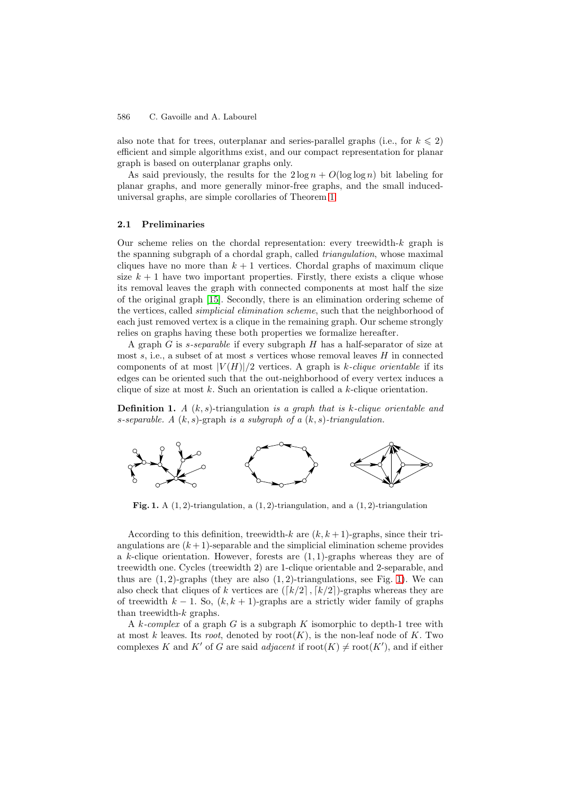#### 586 C. Gavoille and A. Labourel

also note that for trees, outerplanar and series-parallel graphs (i.e., for  $k \leq 2$ ) efficient and simple algorithms exist, and our compact representation for planar graph is based on outerplanar graphs only.

As said previously, the results for the  $2 \log n + O(\log \log n)$  bit labeling for planar graphs, and more generally minor-free graphs, and the small induceduniversal graphs, are simple corollaries of Theorem 1.

#### **2.1 Preliminaries**

Our scheme relies on the chordal representation: [ev](#page-3-1)ery treewidth- $k$  graph is the spanning subgraph of a chordal graph, called *triangulation*, whose maximal cliques have no more than  $k + 1$  vertices. Chordal graphs of maximum clique size  $k + 1$  have two important properties. Firstly, there exists a clique whose its removal leaves the graph with connected components at most half the size of the original graph [15]. Secondly, there is an elimination ordering scheme of the vertices, called *simplicial elimination scheme*, such that the neighborhood of each just removed vertex is a clique in the remaining graph. Our scheme strongly relies on graphs having these both properties we formalize hereafter.

A graph G is s-sep[ara](#page-11-14)ble if every subgraph H has a half-separator of size at most s, i.e., a subset of at most s vertices whose removal leaves  $H$  in connected components of at most  $|V(H)|/2$  vertices. A graph is k-clique orientable if its edges can be oriented such that the out-neighborhood of every vertex induces a clique of size at most  $k$ . Such an orientation is called a  $k$ -clique orientation.

**Definition 1.** A  $(k, s)$ -triangulation is a graph that is k-clique orientable and s-separable. A  $(k, s)$ -graph is a subgraph of a  $(k, s)$ -triangulation.



<span id="page-4-0"></span>**Fig. 1.** A (1, 2)-triangulation, a (1, 2)-triangulation, and a (1, 2)-triangulation

According to this definition, treewidth-k are  $(k, k + 1)$ -graphs, since their triangulations are  $(k+1)$ -separable and the simplicial elimination scheme provides a k-clique orientation. However, forests are  $(1, 1)$ -graphs whereas they are of treewidth one. Cycles (treewidth 2) are 1-clique orientable and 2-separable, and thus are  $(1, 2)$ -graphs (they are also  $(1, 2)$ -triangulations, see Fig. 1). We can also check that cliques of k vertices are  $([k/2], [k/2])$ -graphs whereas they are of treewidth  $k - 1$ . So,  $(k, k + 1)$ -graphs are a strictly wider family of graphs than treewidth- $k$  graphs.

A k-complex of a graph G is a subgraph K isomorphic to depth[-1](#page-4-0) tree with at most k leaves. Its root, denoted by root(K), is the non-leaf node of K. Two complexes K and K' of G are said *adjacent* if  $root(K) \neq root(K')$ , and if either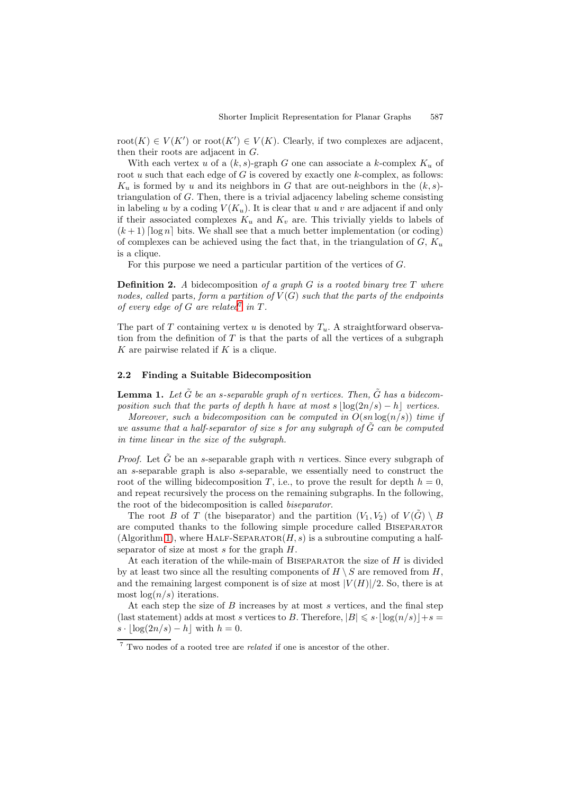root $(K) \in V(K')$  or root $(K') \in V(K)$ . Clearly, if two complexes are adjacent, then their roots are adjacent in G.

With each vertex u of a  $(k, s)$ -graph G one can associate a k-complex  $K_u$  of root  $u$  such that each edge of  $G$  is covered by exactly one  $k$ -complex, as follows:  $K_u$  is formed by u and its neighbors in G that are out-neighbors in the  $(k, s)$ triangulation of G. Then, there is a trivial adjacency labeling scheme consisting in labeling u by a coding  $V(K_u)$ . It is clear that u and v are adjacent if and only if their associated complexes  $K_u$  and  $K_v$  are. This trivially yields to labels of  $(k+1)$  [log n] bits. We shall see that a much better implementation (or coding) of complexes can be achieved using the fact that, in the triangulation of  $G, K_u$ is a clique.

For this purpose we need a particular partition of the vertices of G.

**Definition 2.** A bidecomposition of a graph G is a rooted binary tree T where nodes, called parts, form a partition of  $V(G)$  such that the parts of the endpoints of every edge of G are related in  $T$ .

The part of T containing vertex u is denoted by  $T_u$ . A straightforward observation from the definition of  $T$  is that the parts of all the vertices of a subgraph K are pairwi[s](#page-5-0)e related if  $K$  is a clique.

#### **2.2 Finding a Suitable Bidecomposition**

**Lemma 1.** Let  $\tilde{G}$  be an s-separable graph of n vertices. Then,  $\tilde{G}$  has a bidecomposition such that the parts of depth h have at most s  $\log(2n/s) - h$  vertices.

<span id="page-5-1"></span>Moreover, such a bidecomposition can be computed in  $O(\text{sn}\log(n/s))$  time if we assume that a half-separator of size  $s$  for any subgraph of  $G$  can be computed in time linear in the size of the subgraph.

*Proof.* Let  $\tilde{G}$  be an s-separable graph with n vertices. Since every subgraph of an s-separable graph is also s-separable, we essentially need to construct the root of the willing bidecomposition T, i.e., to prove the result for depth  $h = 0$ , and repeat recursively the process on the remaining subgraphs. In the following, the root of the bidecomposition is called biseparator.

The root B of T (the biseparator) and the partition  $(V_1, V_2)$  of  $V(G) \setminus B$ are computed thanks to the following simple procedure called Biseparator (Algorithm 1), where HALF-SEPARATOR( $H, s$ ) is a subroutine computing a halfseparator of size at most  $s$  for the graph  $H$ .

At each iteration of the while-main of BISEPARATOR the size of  $H$  is divided by at least two since all the resulting components of  $H \setminus S$  are removed from H, and the re[mai](#page-6-0)ning largest component is of size at most  $|V(H)|/2$ . So, there is at most  $log(n/s)$  iterations.

At each step the size of  $B$  increases by at most  $s$  vertices, and the final step (last statement) adds at most s vertices to B. Therefore,  $|B| \leq s \cdot \lfloor \log(n/s) \rfloor + s =$  $s \cdot |\log(2n/s) - h|$  with  $h = 0$ .

<span id="page-5-0"></span><sup>&</sup>lt;sup>7</sup> Two nodes of a rooted tree are *related* if one is ancestor of the other.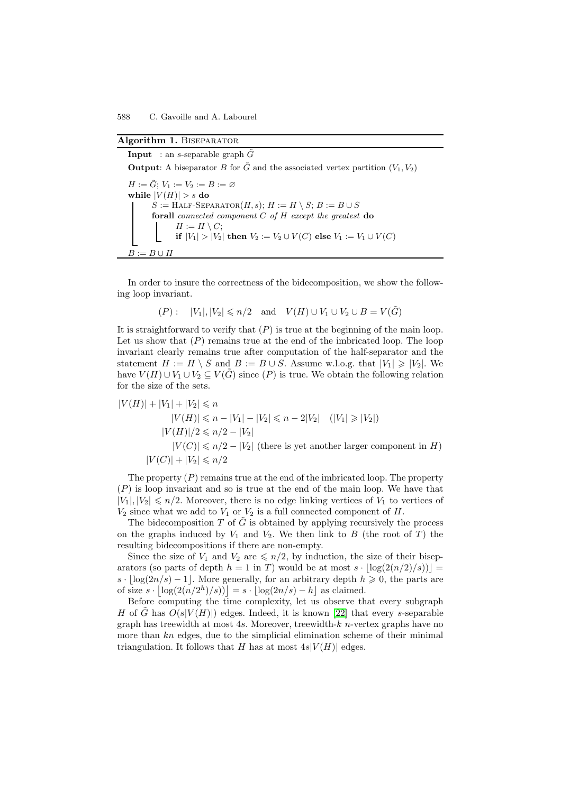## Algorithm 1. BISEPARATOR

**Input** : an *s*-separable graph  $\tilde{G}$ 

**Output**: A biseparator B for  $\tilde{G}$  and the associated vertex partition  $(V_1, V_2)$ 

<span id="page-6-0"></span> $H := \tilde{G}; V_1 := V_2 := B := \varnothing$ while  $|V(H)| > s$  do  $S := \text{HALF-SEPARATOR}(H, s); H := H \setminus S; B := B \cup S$ **forall** connected component C of H except the greatest **do**  $H := H \setminus C$ ; **if**  $|V_1| > |V_2|$  **then**  $V_2 := V_2 \cup V(C)$  **else**  $V_1 := V_1 \cup V(C)$  $B := B \cup H$ 

In order to insure the correctness of the bidecomposition, we show the following loop invariant.

$$
(P): \quad |V_1|, |V_2| \leqslant n/2 \quad \text{and} \quad V(H) \cup V_1 \cup V_2 \cup B = V(\tilde{G})
$$

It is straightforward to verify that  $(P)$  is true at the beginning of the main loop. Let us show that  $(P)$  remains true at the end of the imbricated loop. The loop invariant clearly remains true after computation of the half-separator and the statement  $H := H \setminus S$  and  $B := B \cup S$ . Assume w.l.o.g. that  $|V_1| \geq |V_2|$ . We have  $V(H) \cup V_1 \cup V_2 \subseteq V(\tilde{G})$  since  $(P)$  is true. We obtain the following relation for the size of the sets.

$$
|V(H)| + |V_1| + |V_2| \le n
$$
  
\n
$$
|V(H)| \le n - |V_1| - |V_2| \le n - 2|V_2| \quad (|V_1| \ge |V_2|)
$$
  
\n
$$
|V(H)|/2 \le n/2 - |V_2|
$$
  
\n
$$
|V(C)| \le n/2 - |V_2| \text{ (there is yet another larger component in } H)
$$
  
\n
$$
|V(C)| + |V_2| \le n/2
$$

The property  $(P)$  remains true at the end of the imbricated loop. The property  $(P)$  is loop invariant and so is true at the end of the main loop. We have that  $|V_1|, |V_2| \le n/2$ . Moreover, there is no edge linking vertices of  $V_1$  to vertices of  $V_2$  since what we add to  $V_1$  or  $V_2$  is a full connected component of H.

The bidecomposition T of  $\tilde{G}$  is obtained by applying recursively the process on the graphs induced by  $V_1$  and  $V_2$ . We then link to B (the root of T) the resulting bidecompositions if there are non-empty.

Since the size of  $V_1$  and  $V_2$  are  $\leqslant n/2$ , by induction, the size of their biseparators (so parts of depth  $h = 1$  in T) would be at most  $s \cdot |\log(2(n/2)/s))|$  $s \cdot \log(2n/s) - 1$ . More generally, for an arbitrary depth  $h \geq 0$ , the parts are of size  $s \cdot |\log(2(n/2^h)/s))| = s \cdot \lfloor \log(2n/s) - h \rfloor$  as claimed.

Before computing the time complexity, let us observe that every subgraph H of G has  $O(s|V(H)|)$  edges. Indeed, it is known [22] that every s-separable graph has treewidth at most 4s. Moreover, treewidth- $k$  n-vertex graphs have no more than  $kn$  edges, due to the simplicial elimination scheme of their minimal triangulation. It follows that H has at most  $4s|V(H)|$  edges.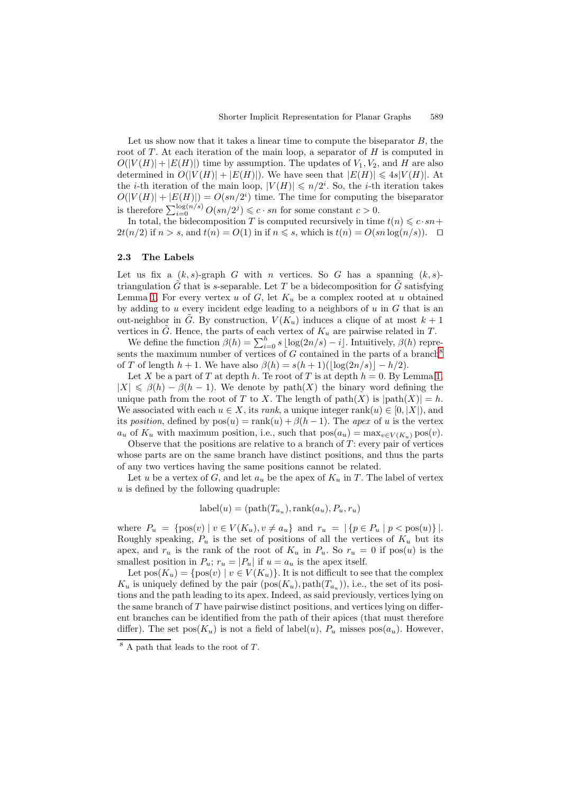Let us show now that it takes a linear time to compute the biseparator  $B$ , the root of  $T$ . At each iteration of the main loop, a separator of  $H$  is computed in  $O(|V(H)| + |E(H)|)$  time by assumption. The updates of  $V_1, V_2$ , and H are also determined in  $O(|V(H)| + |E(H)|)$ . We have seen that  $|E(H)| \leq 4s|V(H)|$ . At the *i*-th iteration of the main loop,  $|V(H)| \le n/2^i$ . So, the *i*-th iteration takes  $O(|V(H)| + |E(H)|) = O(sn/2^i)$  time. The time for computing the biseparator is therefore  $\sum_{i=0}^{\log(n/s)} O(sn/2^j) \leq c \cdot sn$  for some constant  $c > 0$ .

In total, the bidecomposition T is computed recursively in time  $t(n) \leqslant c \cdot sn +$  $2t(n/2)$  if  $n > s$ , and  $t(n) = O(1)$  in if  $n \leq s$ , which is  $t(n) = O(sn \log(n/s))$ .  $\Box$ 

#### **2.3 The Labels**

Let us fix a  $(k, s)$ -graph G with n vertices. So G has a spanning  $(k, s)$ triangulation  $G$  that is s-separable. Let  $T$  be a bidecomposition for  $G$  satisfying Lemma 1. For every vertex u of  $G$ , let  $K_u$  be a complex rooted at u obtained by adding to u every incident edge leading to a neighbors of  $u$  in  $G$  that is an out-neighbor in G. By construction,  $V(K_u)$  induces a clique of at most  $k+1$ vertices in  $\tilde{G}$ . Hence, the parts of each vertex of  $K_u$  are pairwise related in T.

We d[efi](#page-5-1)ne the function  $\beta(h) = \sum_{i=0}^{h} s \lfloor \log(2n/s) - i \rfloor$ . Intuitively,  $\beta(h)$  represents the maximum number of vertices of  $G$  contained in the parts of a branch<sup>8</sup> of T of length  $h + 1$ . We have also  $\beta(h) = s(h + 1)(\log(2n/s)) - h/2$ .

Let X be a part of T at depth h. Te root of T is at depth  $h = 0$ . By Lemma 1,  $|X| \leq \beta(h) - \beta(h-1)$ . We denote by path $(X)$  the binary word defining the unique path from the root of T to X[.](#page-7-0) The length of path $(X)$  is  $|path(X)| = h$ . We associated with each  $u \in X$ , its rank, a unique integer rank $(u) \in [0, |X|)$ , and its position, defined by  $pos(u) = rank(u) + \beta(h-1)$ . The ap[ex](#page-5-1) of u is the vertex  $a_u$  of  $K_u$  with maximum position, i.e., such that  $pos(a_u) = max_{v \in V(K_u)} pos(v)$ .

Observe that the positions are relative to a branch of  $T$ : every pair of vertices whose parts are on the same branch have distinct positions, and thus the parts of any two vertices having the same positions cannot be related.

Let u be a vertex of G, and let  $a_u$  be the apex of  $K_u$  in T. The label of vertex u is defined by the following quadruple:

$$
label(u) = (path(T_{a_u}), rank(a_u), P_u, r_u)
$$

where  $P_u = \{ pos(v) | v \in V(K_u), v \neq a_u \}$  and  $r_u = |\{ p \in P_u | p < pos(u) \}|$ . Roughly speaking,  $P_u$  is the set of positions of all the vertices of  $K_u$  but its apex, and  $r_u$  is the rank of the root of  $K_u$  in  $P_u$ . So  $r_u = 0$  if pos(u) is the smallest position in  $P_u$ ;  $r_u = |P_u|$  if  $u = a_u$  is the apex itself.

Let  $pos(K_u) = \{pos(v) | v \in V(K_u)\}.$  It is not difficult to see that the complex  $K_u$  is uniquely defined by the pair  $(\text{pos}(K_u), \text{path}(T_{a_u}))$ , i.e., the set of its positions and the path leading to its apex. Indeed, as said previously, vertices lying on the same branch of T have pairwise distinct positions, and vertices lying on different branches can be identified from the path of their apices (that must therefore differ). The set  $pos(K_u)$  is not a field of label $(u)$ ,  $P_u$  misses  $pos(a_u)$ . However,

<span id="page-7-0"></span> $8$  A path that leads to the root of T.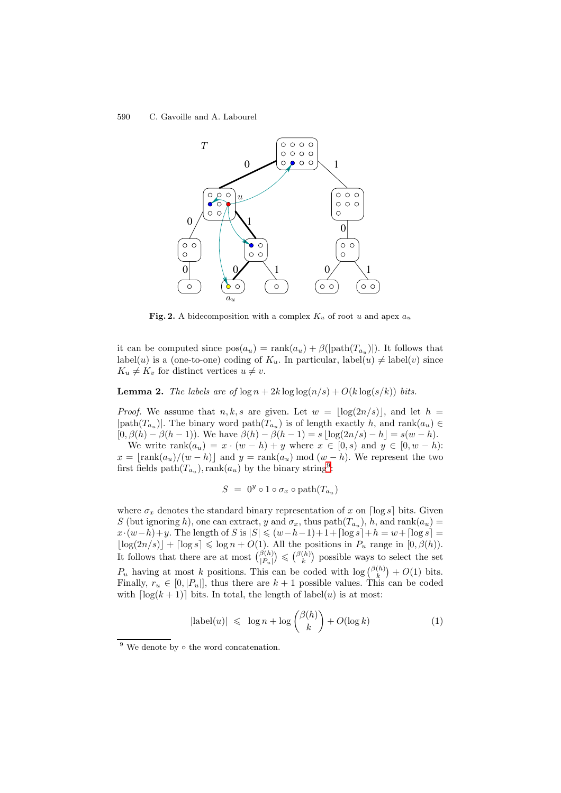

**Fig. 2.** A bidecomposition with a complex  $K_u$  of root u and apex  $a_u$ 

it can be computed since  $pos(a_u) = rank(a_u) + \beta(|path(T_{a_u})|)$ . It follows that label(u) is a (one-to-one) coding of  $K_u$ . In particular, label(u)  $\neq$  label(v) since  $K_u \neq K_v$  for distinct vertices  $u \neq v$ .

**Lemma 2.** The labels are of  $\log n + 2k \log \log(n/s) + O(k \log(s/k))$  bits.

*Proof.* We assume that  $n, k, s$  are given. Let  $w = \lfloor \log(2n/s) \rfloor$ , and let  $h =$  $|\text{path}(T_{a_u})|$ . The binary word  $\text{path}(T_{a_u})$  is of length exactly h, and  $\text{rank}(a_u) \in$  $[0, \beta(h) - \beta(h-1))$ . We have  $\beta(h) - \beta(h-1) = s \lfloor \log(2n/s) - h \rfloor = s(w - h)$ .

We write  $\text{rank}(a_u) = x \cdot (w - h) + y$  where  $x \in [0, s)$  and  $y \in [0, w - h)$ :  $x = |\text{rank}(a_u)/(w - h)|$  and  $y = \text{rank}(a_u) \mod (w - h)$ . We represent the two first fields path $(T_{a_u})$ , rank $(a_u)$  by the binary string<sup>9</sup>:

$$
S = 0^y \circ 1 \circ \sigma_x \circ \text{path}(T_{a_u})
$$

where  $\sigma_x$  denotes the standard binary representati[on](#page-8-0) of x on  $\lceil \log s \rceil$  bits. Given S (but ignoring h), one can extract, y and  $\sigma_x$ , thus path $(T_{a_u})$ , h, and rank $(a_u)$  $x \cdot (w-h)+y$ . The length of S is  $|S| \leq (w-h-1)+1+\lceil \log s \rceil +h = w+\lceil \log s \rceil =$  $\lfloor \log(2n/s) \rfloor + \lceil \log s \rceil \leq \log n + O(1)$ . All the positions in  $P_u$  range in  $[0, \beta(h))$ . It follows that there are at most  $\binom{\beta(h)}{P_u} \leq \binom{\beta(h)}{k}$  possible ways to select the set  $P_u$  having at most k positions. This can be coded with  $\log {\binom{\beta(h)}{k}} + O(1)$  bits. Finally,  $r_u \in [0, |P_u|]$ , thus there are  $k+1$  possible values. This can be coded with  $\lceil \log(k+1) \rceil$  bits. In total, the length of label(u) is at most:

<span id="page-8-1"></span>
$$
|\text{label}(u)| \leq \log n + \log \binom{\beta(h)}{k} + O(\log k) \tag{1}
$$

<span id="page-8-0"></span> $9$  We denote by  $\circ$  the word concatenation.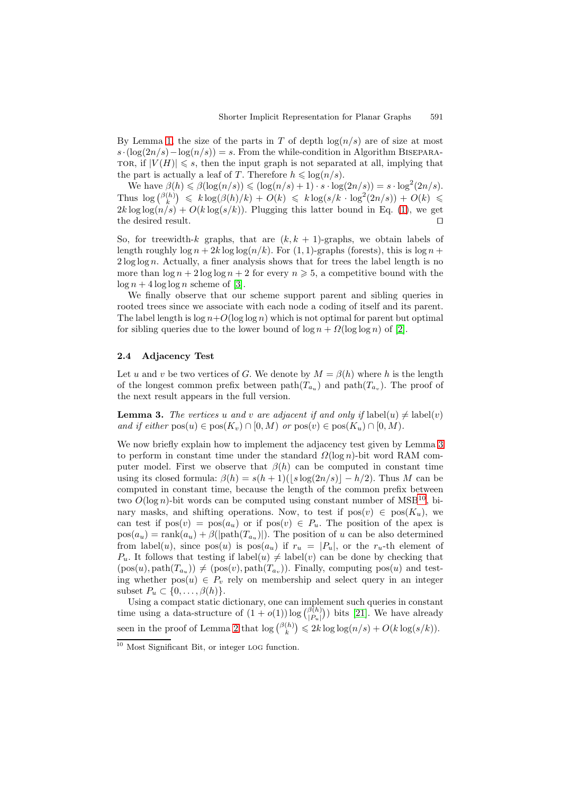By Lemma 1, the size of the parts in T of depth  $log(n/s)$  are of size at most  $s \cdot (\log(2n/s) - \log(n/s)) = s$ . From the while-condition in Algorithm BISEPARA-TOR, if  $|V(H)| \leq s$ , then the input graph is not separated at all, implying that the part is actually a leaf of T. Therefore  $h \leq \log(n/s)$ .

We have  $\beta(h) \leq \beta(\log(n/s)) \leq (\log(n/s) + 1) \cdot s \cdot \log(2n/s)) = s \cdot \log^2(2n/s)$ . Thus  $\log {\binom{\beta(h)}{k}} \leq k \log (\beta(h)/k) + O(k) \leq k \log(s/k \cdot \log^2(2n/s)) + O(k) \leq$  $2k \log \log (n/s) + O(k \log (s/k))$ . Plugging this latter bound in Eq. (1), we get the desired result.  $\Box$ 

So, for treewidth-k graphs, that are  $(k, k + 1)$ -graphs, we obtain labels of length roughly  $\log n + 2k \log \log (n/k)$ . For (1, 1)-graphs (forests), this is  $\log n$  +  $2 \log \log n$ . Actually, a finer analysis shows that for trees the label l[en](#page-8-1)gth is no more than  $\log n + 2 \log \log n + 2$  for every  $n \ge 5$ , a competitive bound with the  $\log n + 4 \log \log n$  scheme of [3].

We finally observe that our scheme support parent and sibling queries in rooted trees since we associate with each node a coding of itself and its parent. The label length is  $\log n + O(\log \log n)$  which is not optimal for parent but optimal for sibling queries due to th[e lo](#page-10-0)wer bound of  $\log n + \Omega(\log \log n)$  of [2].

#### **2.4 Adjacency Test**

Let u and v be two vertices of G. We denote by  $M = \beta(h)$  where h i[s t](#page-10-4)he length of the longest common prefix between  $path(T_{a_u})$  and  $path(T_{a_v})$ . The proof of the next result appears in the full version.

**Lemma 3.** The vertices u and v are adjacent if and only if  $\text{label}(u) \neq \text{label}(v)$ and if either  $pos(u) \in pos(K_v) \cap [0, M)$  or  $pos(v) \in pos(K_u) \cap [0, M)$ .

<span id="page-9-0"></span>We now briefly explain how to implement the adjacency test given by Lemma 3 to perform in constant time under the standard  $\Omega(\log n)$ -bit word RAM computer model. First we observe that  $\beta(h)$  can be computed in constant time using its closed formula:  $\beta(h) = s(h+1)(|s \log(2n/s)| - h/2)$ . Thus M can be computed in constant time, because the length of the common prefix betwe[en](#page-9-0) two  $O(\log n)$ -bit words can be computed using constant number of MSB<sup>10</sup>, binary masks, and shifting operations. Now, to test if  $pos(v) \in pos(K_u)$ , we can test if  $pos(v) = pos(a_u)$  or if  $pos(v) \in P_u$ . The position of the apex is  $pos(a_u) = rank(a_u) + \beta(|path(T_{a_u})|)$ . The position of u can be also determined from label(u), since  $pos(u)$  is  $pos(a_u)$  if  $r_u = |P_u|$ , or the  $r_u$ -th ele[men](#page-9-1)t of  $P_u$ . It follows that testing if label $(u) \neq$  label $(v)$  can be done by checking that  $(\text{pos}(u), \text{path}(T_{a_u})) \neq (\text{pos}(v), \text{path}(T_{a_u}))$ . Finally, computing  $\text{pos}(u)$  and testing whether  $pos(u) \in P_v$  rely on membership and select query in an integer subset  $P_u \subset \{0, \ldots, \beta(h)\}.$ 

Using a compact static dictionary, one can implement such queries in constant time using a data-structure of  $(1 + o(1)) \log {\beta(h) \choose |P_u|}$  bits [21]. We have already seen in the proof of Lemma 2 that  $\log {\binom{\beta(h)}{k}} \leq 2k \log \log(n/s) + O(k \log(s/k)).$ 

<span id="page-9-1"></span><sup>10</sup> Most Significant Bit, or integer log function.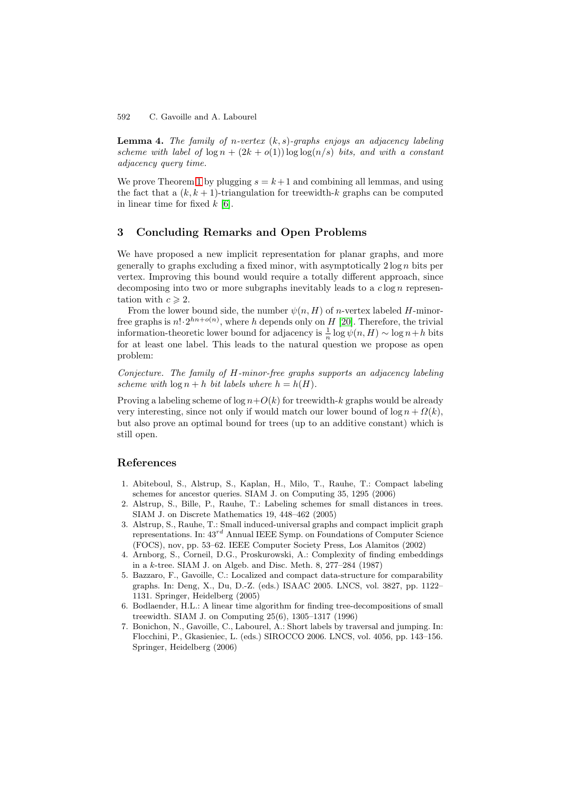592 C. Gavoille and A. Labourel

**Lemma 4.** The family of n-vertex  $(k, s)$ -graphs enjoys an adjacency labeling scheme with label of  $\log n + (2k + o(1)) \log \log(n/s)$  bits, and with a constant adjacency query time.

We prove Theorem 1 by plugging  $s = k+1$  and combining all lemmas, and using the fact that a  $(k, k + 1)$ -triangulation for treewidth-k graphs can be computed in linear time for fixed  $k \geq 6$ .

## **3 Concludin[g](#page-3-1) Remarks and Open Problems**

We have proposed a ne[w](#page-10-5) [i](#page-10-5)mplicit representation for planar graphs, and more generally to graphs excluding a fixed minor, with asymptotically  $2 \log n$  bits per vertex. Improving this bound would require a totally different approach, since decomposing into two or more subgraphs inevitably leads to a  $c \log n$  representation with  $c \geq 2$ .

From the lower bound side, the number  $\psi(n,H)$  of *n*-vertex labeled *H*-minorfree graphs is  $n! \cdot 2^{hn+o(n)}$ , where h depends only on H [20]. Therefore, the trivial information-theoretic lower bound for adjacency is  $\frac{1}{n} \log \psi(n,H) \sim \log n + h$  bits for at least one label. This leads to the natural question we propose as open problem:

Conjecture. The family of H-minor-free graphs supp[orts](#page-11-15) an adjacency labeling scheme with  $\log n + h$  bit labels where  $h = h(H)$ .

Proving a labeling scheme of  $\log n + O(k)$  for treewidth-k graphs would be already very interesting, since not only if would match our lower bound of  $\log n + \Omega(k)$ , but also prove an optimal bound for trees (up to an additive constant) which is still open.

## **References**

- 1. Abiteboul, S., Alstrup, S., Kaplan, H., Milo, T., Rauhe, T.: Compact labeling schemes for ancestor queries. SIAM J. on Computing 35, 1295 (2006)
- 2. Alstrup, S., Bille, P., Rauhe, T.: Labeling schemes for small distances in trees. SIAM J. on Discrete Mathematics 19, 448–462 (2005)
- <span id="page-10-2"></span>3. Alstrup, S., Rauhe, T.: Small induced-universal graphs and compact implicit graph representations. In:  $43^{rd}$  Annual IEEE Symp. on Foundations of Computer Science (FOCS), nov, pp. 53–62. IEEE Computer Society Press, Los Alamitos (2002)
- <span id="page-10-4"></span><span id="page-10-0"></span>4. Arnborg, S., Corneil, D.G., Proskurowski, A.: Complexity of finding embeddings in a k-tree. SIAM J. on Algeb. and Disc. Meth. 8, 277–284 (1987)
- 5. Bazzaro, F., Gavoille, C.: Localized and compact data-structure for comparability graphs. In: Deng, X., Du, D.-Z. (eds.) ISAAC 2005. LNCS, vol. 3827, pp. 1122– 1131. Springer, Heidelberg (2005)
- <span id="page-10-1"></span>6. Bodlaender, H.L.: A linear time algorithm for finding tree-decompositions of small treewidth. SIAM J. on Computing 25(6), 1305–1317 (1996)
- <span id="page-10-5"></span><span id="page-10-3"></span>7. Bonichon, N., Gavoille, C., Labourel, A.: Short labels by traversal and jumping. In: Flocchini, P., Gkasieniec, L. (eds.) SIROCCO 2006. LNCS, vol. 4056, pp. 143–156. Springer, Heidelberg (2006)